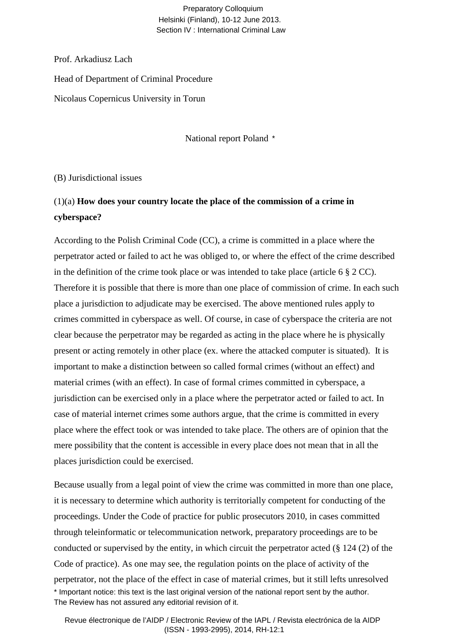#### Preparatory Colloquium Helsinki (Finland), 10-12 June 2013. Section IV : International Criminal Law

Prof. Arkadiusz Lach

Head of Department of Criminal Procedure

Nicolaus Copernicus University in Torun

National report Poland \*

(B) Jurisdictional issues

### (1)(a) **How does your country locate the place of the commission of a crime in cyberspace?**

According to the Polish Criminal Code (CC), a crime is committed in a place where the perpetrator acted or failed to act he was obliged to, or where the effect of the crime described in the definition of the crime took place or was intended to take place (article 6  $\S 2$  CC). Therefore it is possible that there is more than one place of commission of crime. In each such place a jurisdiction to adjudicate may be exercised. The above mentioned rules apply to crimes committed in cyberspace as well. Of course, in case of cyberspace the criteria are not clear because the perpetrator may be regarded as acting in the place where he is physically present or acting remotely in other place (ex. where the attacked computer is situated). It is important to make a distinction between so called formal crimes (without an effect) and material crimes (with an effect). In case of formal crimes committed in cyberspace, a jurisdiction can be exercised only in a place where the perpetrator acted or failed to act. In case of material internet crimes some authors argue, that the crime is committed in every place where the effect took or was intended to take place. The others are of opinion that the mere possibility that the content is accessible in every place does not mean that in all the places jurisdiction could be exercised.

Because usually from a legal point of view the crime was committed in more than one place, it is necessary to determine which authority is territorially competent for conducting of the proceedings. Under the Code of practice for public prosecutors 2010, in cases committed through teleinformatic or telecommunication network, preparatory proceedings are to be conducted or supervised by the entity, in which circuit the perpetrator acted (§ 124 (2) of the Code of practice). As one may see, the regulation points on the place of activity of the perpetrator, not the place of the effect in case of material crimes, but it still lefts unresolved \* Important notice: this text is the last original version of the national report sent by the author. The Review has not assured any editorial revision of it.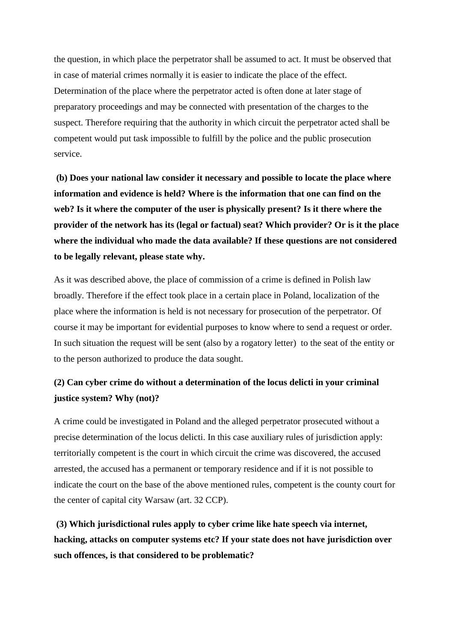the question, in which place the perpetrator shall be assumed to act. It must be observed that in case of material crimes normally it is easier to indicate the place of the effect. Determination of the place where the perpetrator acted is often done at later stage of preparatory proceedings and may be connected with presentation of the charges to the suspect. Therefore requiring that the authority in which circuit the perpetrator acted shall be competent would put task impossible to fulfill by the police and the public prosecution service.

**(b) Does your national law consider it necessary and possible to locate the place where information and evidence is held? Where is the information that one can find on the web? Is it where the computer of the user is physically present? Is it there where the provider of the network has its (legal or factual) seat? Which provider? Or is it the place where the individual who made the data available? If these questions are not considered to be legally relevant, please state why.** 

As it was described above, the place of commission of a crime is defined in Polish law broadly. Therefore if the effect took place in a certain place in Poland, localization of the place where the information is held is not necessary for prosecution of the perpetrator. Of course it may be important for evidential purposes to know where to send a request or order. In such situation the request will be sent (also by a rogatory letter) to the seat of the entity or to the person authorized to produce the data sought.

#### **(2) Can cyber crime do without a determination of the locus delicti in your criminal justice system? Why (not)?**

A crime could be investigated in Poland and the alleged perpetrator prosecuted without a precise determination of the locus delicti. In this case auxiliary rules of jurisdiction apply: territorially competent is the court in which circuit the crime was discovered, the accused arrested, the accused has a permanent or temporary residence and if it is not possible to indicate the court on the base of the above mentioned rules, competent is the county court for the center of capital city Warsaw (art. 32 CCP).

**(3) Which jurisdictional rules apply to cyber crime like hate speech via internet, hacking, attacks on computer systems etc? If your state does not have jurisdiction over such offences, is that considered to be problematic?**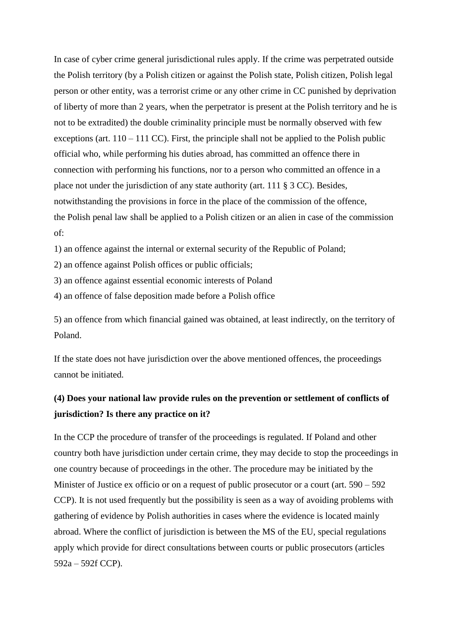In case of cyber crime general jurisdictional rules apply. If the crime was perpetrated outside the Polish territory (by a Polish citizen or against the Polish state, Polish citizen, Polish legal person or other entity, was a terrorist crime or any other crime in CC punished by deprivation of liberty of more than 2 years, when the perpetrator is present at the Polish territory and he is not to be extradited) the double criminality principle must be normally observed with few exceptions (art.  $110 - 111$  CC). First, the principle shall not be applied to the Polish public official who, while performing his duties abroad, has committed an offence there in connection with performing his functions, nor to a person who committed an offence in a place not under the jurisdiction of any state authority (art. 111 § 3 CC). Besides, notwithstanding the provisions in force in the place of the commission of the offence, the Polish penal law shall be applied to a Polish citizen or an alien in case of the commission of:

1) an offence against the internal or external security of the Republic of Poland;

2) an offence against Polish offices or public officials;

3) an offence against essential economic interests of Poland

4) an offence of false deposition made before a Polish office

5) an offence from which financial gained was obtained, at least indirectly, on the territory of Poland.

If the state does not have jurisdiction over the above mentioned offences, the proceedings cannot be initiated.

#### **(4) Does your national law provide rules on the prevention or settlement of conflicts of jurisdiction? Is there any practice on it?**

In the CCP the procedure of transfer of the proceedings is regulated. If Poland and other country both have jurisdiction under certain crime, they may decide to stop the proceedings in one country because of proceedings in the other. The procedure may be initiated by the Minister of Justice ex officio or on a request of public prosecutor or a court (art. 590 – 592 CCP). It is not used frequently but the possibility is seen as a way of avoiding problems with gathering of evidence by Polish authorities in cases where the evidence is located mainly abroad. Where the conflict of jurisdiction is between the MS of the EU, special regulations apply which provide for direct consultations between courts or public prosecutors (articles 592a – 592f CCP).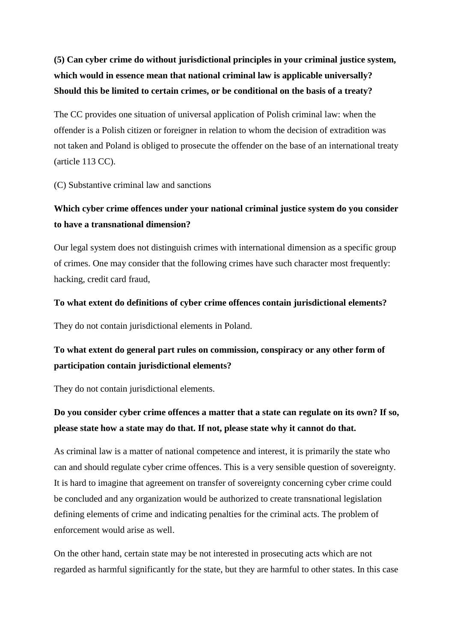## **(5) Can cyber crime do without jurisdictional principles in your criminal justice system, which would in essence mean that national criminal law is applicable universally? Should this be limited to certain crimes, or be conditional on the basis of a treaty?**

The CC provides one situation of universal application of Polish criminal law: when the offender is a Polish citizen or foreigner in relation to whom the decision of extradition was not taken and Poland is obliged to prosecute the offender on the base of an international treaty (article 113 CC).

(C) Substantive criminal law and sanctions

#### **Which cyber crime offences under your national criminal justice system do you consider to have a transnational dimension?**

Our legal system does not distinguish crimes with international dimension as a specific group of crimes. One may consider that the following crimes have such character most frequently: hacking, credit card fraud,

#### **To what extent do definitions of cyber crime offences contain jurisdictional elements?**

They do not contain jurisdictional elements in Poland.

#### **To what extent do general part rules on commission, conspiracy or any other form of participation contain jurisdictional elements?**

They do not contain jurisdictional elements.

### **Do you consider cyber crime offences a matter that a state can regulate on its own? If so, please state how a state may do that. If not, please state why it cannot do that.**

As criminal law is a matter of national competence and interest, it is primarily the state who can and should regulate cyber crime offences. This is a very sensible question of sovereignty. It is hard to imagine that agreement on transfer of sovereignty concerning cyber crime could be concluded and any organization would be authorized to create transnational legislation defining elements of crime and indicating penalties for the criminal acts. The problem of enforcement would arise as well.

On the other hand, certain state may be not interested in prosecuting acts which are not regarded as harmful significantly for the state, but they are harmful to other states. In this case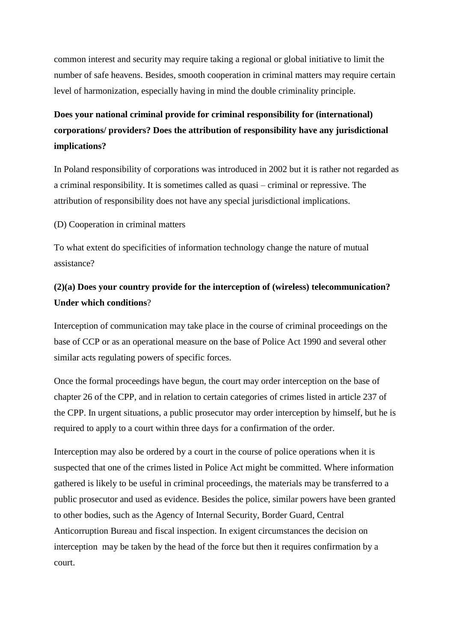common interest and security may require taking a regional or global initiative to limit the number of safe heavens. Besides, smooth cooperation in criminal matters may require certain level of harmonization, especially having in mind the double criminality principle.

## **Does your national criminal provide for criminal responsibility for (international) corporations/ providers? Does the attribution of responsibility have any jurisdictional implications?**

In Poland responsibility of corporations was introduced in 2002 but it is rather not regarded as a criminal responsibility. It is sometimes called as quasi – criminal or repressive. The attribution of responsibility does not have any special jurisdictional implications.

(D) Cooperation in criminal matters

To what extent do specificities of information technology change the nature of mutual assistance?

#### **(2)(a) Does your country provide for the interception of (wireless) telecommunication? Under which conditions**?

Interception of communication may take place in the course of criminal proceedings on the base of CCP or as an operational measure on the base of Police Act 1990 and several other similar acts regulating powers of specific forces.

Once the formal proceedings have begun, the court may order interception on the base of chapter 26 of the CPP, and in relation to certain categories of crimes listed in article 237 of the CPP. In urgent situations, a public prosecutor may order interception by himself, but he is required to apply to a court within three days for a confirmation of the order.

Interception may also be ordered by a court in the course of police operations when it is suspected that one of the crimes listed in Police Act might be committed. Where information gathered is likely to be useful in criminal proceedings, the materials may be transferred to a public prosecutor and used as evidence. Besides the police, similar powers have been granted to other bodies, such as the Agency of Internal Security, Border Guard, Central Anticorruption Bureau and fiscal inspection. In exigent circumstances the decision on interception may be taken by the head of the force but then it requires confirmation by a court.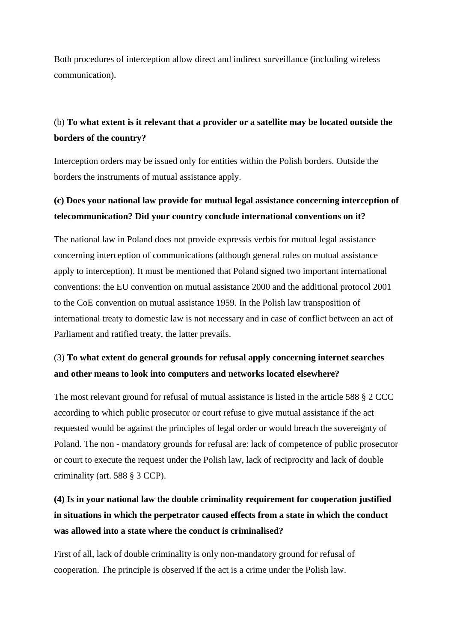Both procedures of interception allow direct and indirect surveillance (including wireless communication).

### (b) **To what extent is it relevant that a provider or a satellite may be located outside the borders of the country?**

Interception orders may be issued only for entities within the Polish borders. Outside the borders the instruments of mutual assistance apply.

#### **(c) Does your national law provide for mutual legal assistance concerning interception of telecommunication? Did your country conclude international conventions on it?**

The national law in Poland does not provide expressis verbis for mutual legal assistance concerning interception of communications (although general rules on mutual assistance apply to interception). It must be mentioned that Poland signed two important international conventions: the EU convention on mutual assistance 2000 and the additional protocol 2001 to the CoE convention on mutual assistance 1959. In the Polish law transposition of international treaty to domestic law is not necessary and in case of conflict between an act of Parliament and ratified treaty, the latter prevails.

#### (3) **To what extent do general grounds for refusal apply concerning internet searches and other means to look into computers and networks located elsewhere?**

The most relevant ground for refusal of mutual assistance is listed in the article 588 § 2 CCC according to which public prosecutor or court refuse to give mutual assistance if the act requested would be against the principles of legal order or would breach the sovereignty of Poland. The non - mandatory grounds for refusal are: lack of competence of public prosecutor or court to execute the request under the Polish law, lack of reciprocity and lack of double criminality (art. 588 § 3 CCP).

## **(4) Is in your national law the double criminality requirement for cooperation justified in situations in which the perpetrator caused effects from a state in which the conduct was allowed into a state where the conduct is criminalised?**

First of all, lack of double criminality is only non-mandatory ground for refusal of cooperation. The principle is observed if the act is a crime under the Polish law.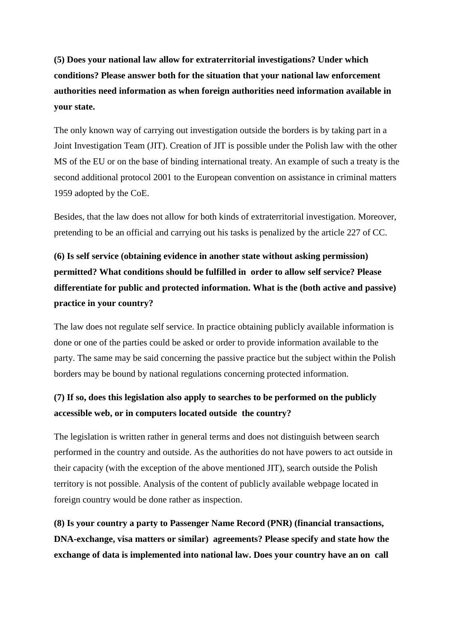**(5) Does your national law allow for extraterritorial investigations? Under which conditions? Please answer both for the situation that your national law enforcement authorities need information as when foreign authorities need information available in your state.** 

The only known way of carrying out investigation outside the borders is by taking part in a Joint Investigation Team (JIT). Creation of JIT is possible under the Polish law with the other MS of the EU or on the base of binding international treaty. An example of such a treaty is the second additional protocol 2001 to the European convention on assistance in criminal matters 1959 adopted by the CoE.

Besides, that the law does not allow for both kinds of extraterritorial investigation. Moreover, pretending to be an official and carrying out his tasks is penalized by the article 227 of CC.

# **(6) Is self service (obtaining evidence in another state without asking permission) permitted? What conditions should be fulfilled in order to allow self service? Please differentiate for public and protected information. What is the (both active and passive) practice in your country?**

The law does not regulate self service. In practice obtaining publicly available information is done or one of the parties could be asked or order to provide information available to the party. The same may be said concerning the passive practice but the subject within the Polish borders may be bound by national regulations concerning protected information.

#### **(7) If so, does this legislation also apply to searches to be performed on the publicly accessible web, or in computers located outside the country?**

The legislation is written rather in general terms and does not distinguish between search performed in the country and outside. As the authorities do not have powers to act outside in their capacity (with the exception of the above mentioned JIT), search outside the Polish territory is not possible. Analysis of the content of publicly available webpage located in foreign country would be done rather as inspection.

**(8) Is your country a party to Passenger Name Record (PNR) (financial transactions, DNA-exchange, visa matters or similar) agreements? Please specify and state how the exchange of data is implemented into national law. Does your country have an on call**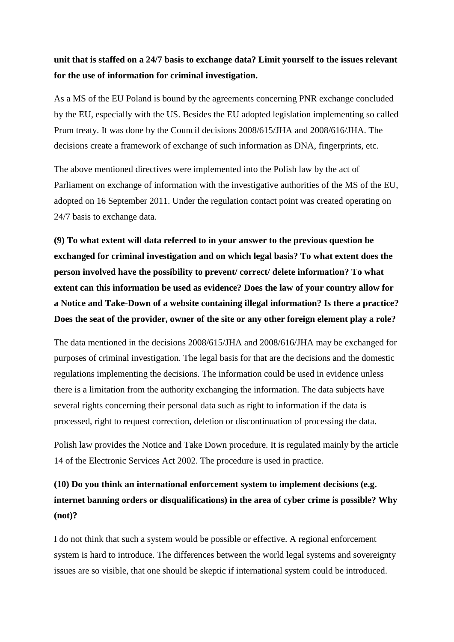#### **unit that is staffed on a 24/7 basis to exchange data? Limit yourself to the issues relevant for the use of information for criminal investigation.**

As a MS of the EU Poland is bound by the agreements concerning PNR exchange concluded by the EU, especially with the US. Besides the EU adopted legislation implementing so called Prum treaty. It was done by the Council decisions 2008/615/JHA and 2008/616/JHA. The decisions create a framework of exchange of such information as DNA, fingerprints, etc.

The above mentioned directives were implemented into the Polish law by the act of Parliament on exchange of information with the investigative authorities of the MS of the EU, adopted on 16 September 2011. Under the regulation contact point was created operating on 24/7 basis to exchange data.

**(9) To what extent will data referred to in your answer to the previous question be exchanged for criminal investigation and on which legal basis? To what extent does the person involved have the possibility to prevent/ correct/ delete information? To what extent can this information be used as evidence? Does the law of your country allow for a Notice and Take-Down of a website containing illegal information? Is there a practice? Does the seat of the provider, owner of the site or any other foreign element play a role?** 

The data mentioned in the decisions 2008/615/JHA and 2008/616/JHA may be exchanged for purposes of criminal investigation. The legal basis for that are the decisions and the domestic regulations implementing the decisions. The information could be used in evidence unless there is a limitation from the authority exchanging the information. The data subjects have several rights concerning their personal data such as right to information if the data is processed, right to request correction, deletion or discontinuation of processing the data.

Polish law provides the Notice and Take Down procedure. It is regulated mainly by the article 14 of the Electronic Services Act 2002. The procedure is used in practice.

## **(10) Do you think an international enforcement system to implement decisions (e.g. internet banning orders or disqualifications) in the area of cyber crime is possible? Why (not)?**

I do not think that such a system would be possible or effective. A regional enforcement system is hard to introduce. The differences between the world legal systems and sovereignty issues are so visible, that one should be skeptic if international system could be introduced.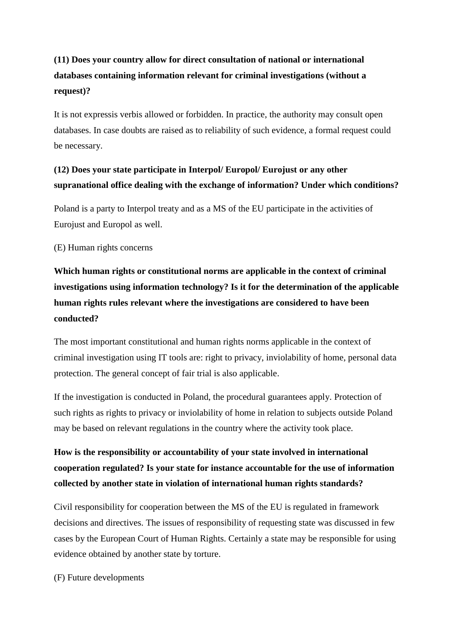## **(11) Does your country allow for direct consultation of national or international databases containing information relevant for criminal investigations (without a request)?**

It is not expressis verbis allowed or forbidden. In practice, the authority may consult open databases. In case doubts are raised as to reliability of such evidence, a formal request could be necessary.

#### **(12) Does your state participate in Interpol/ Europol/ Eurojust or any other supranational office dealing with the exchange of information? Under which conditions?**

Poland is a party to Interpol treaty and as a MS of the EU participate in the activities of Eurojust and Europol as well.

#### (E) Human rights concerns

# **Which human rights or constitutional norms are applicable in the context of criminal investigations using information technology? Is it for the determination of the applicable human rights rules relevant where the investigations are considered to have been conducted?**

The most important constitutional and human rights norms applicable in the context of criminal investigation using IT tools are: right to privacy, inviolability of home, personal data protection. The general concept of fair trial is also applicable.

If the investigation is conducted in Poland, the procedural guarantees apply. Protection of such rights as rights to privacy or inviolability of home in relation to subjects outside Poland may be based on relevant regulations in the country where the activity took place.

## **How is the responsibility or accountability of your state involved in international cooperation regulated? Is your state for instance accountable for the use of information collected by another state in violation of international human rights standards?**

Civil responsibility for cooperation between the MS of the EU is regulated in framework decisions and directives. The issues of responsibility of requesting state was discussed in few cases by the European Court of Human Rights. Certainly a state may be responsible for using evidence obtained by another state by torture.

(F) Future developments